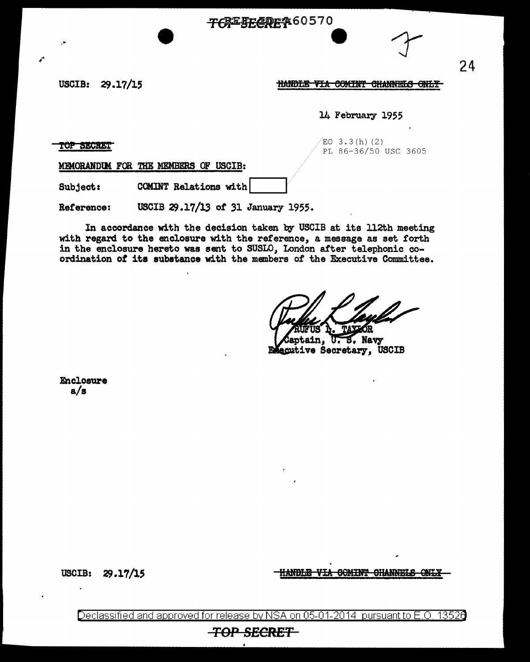## TCREFECREA60570

USCIB: 29.17/15

HANDLE VIA COMINT CHANNELS ONLY

14 February 1955

TOP SECRET

 $ED 3.3(h) (2)$ PL 86-36/50 USC 3605

MEMORANDUM FOR THE MEMBERS OF USCIB:

Subject: COMINT Relations with

USCIB 29.17/13 of 31 January 1955. Reference:

In accordance with the decision taken by USCIB at its 112th meeting with regard to the enclosure with the reference, a message as set forth in the enclosure hereto was sent to SUSLO, London after telephonic coordination of its substance with the members of the Executive Committee.

U.S. Navy

ain. **Executive Secretary, USCIB** 

Enclosure  $a/s$ 

USCIB:  $29.17/15$ 

HANDLE VIA GOMINT GHANNELS ONLY

Declassified and approved for release by NSA on 05-01-2014 pursuant to E.O. 13526

## **TOP SECRET**